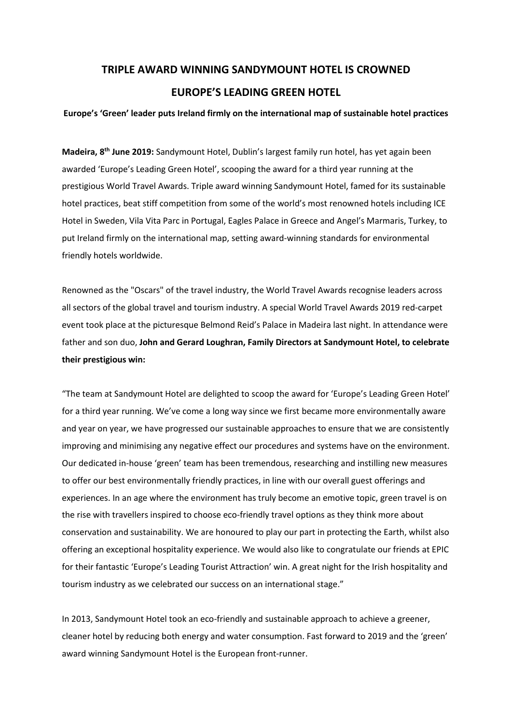## **TRIPLE AWARD WINNING SANDYMOUNT HOTEL IS CROWNED EUROPE'S LEADING GREEN HOTEL**

## **Europe's 'Green' leader puts Ireland firmly on the international map of sustainable hotel practices**

**Madeira, 8 th June 2019:** Sandymount Hotel, Dublin's largest family run hotel, has yet again been awarded 'Europe's Leading Green Hotel', scooping the award for a third year running at the prestigious World Travel Awards. Triple award winning Sandymount Hotel, famed for its sustainable hotel practices, beat stiff competition from some of the world's most renowned hotels including ICE Hotel in Sweden, Vila Vita Parc in Portugal, Eagles Palace in Greece and Angel's Marmaris, Turkey, to put Ireland firmly on the international map, setting award-winning standards for environmental friendly hotels worldwide.

Renowned as the "Oscars" of the travel industry, the World Travel Awards recognise leaders across all sectors of the global travel and tourism industry. A special World Travel Awards 2019 red-carpet event took place at the picturesque Belmond Reid's Palace in Madeira last night. In attendance were father and son duo, **John and Gerard Loughran, Family Directors at Sandymount Hotel, to celebrate their prestigious win:**

"The team at Sandymount Hotel are delighted to scoop the award for 'Europe's Leading Green Hotel' for a third year running. We've come a long way since we first became more environmentally aware and year on year, we have progressed our sustainable approaches to ensure that we are consistently improving and minimising any negative effect our procedures and systems have on the environment. Our dedicated in-house 'green' team has been tremendous, researching and instilling new measures to offer our best environmentally friendly practices, in line with our overall guest offerings and experiences. In an age where the environment has truly become an emotive topic, green travel is on the rise with travellers inspired to choose eco-friendly travel options as they think more about conservation and sustainability. We are honoured to play our part in protecting the Earth, whilst also offering an exceptional hospitality experience. We would also like to congratulate our friends at EPIC for their fantastic 'Europe's Leading Tourist Attraction' win. A great night for the Irish hospitality and tourism industry as we celebrated our success on an international stage."

In 2013, Sandymount Hotel took an eco-friendly and sustainable approach to achieve a greener, cleaner hotel by reducing both energy and water consumption. Fast forward to 2019 and the 'green' award winning Sandymount Hotel is the European front-runner.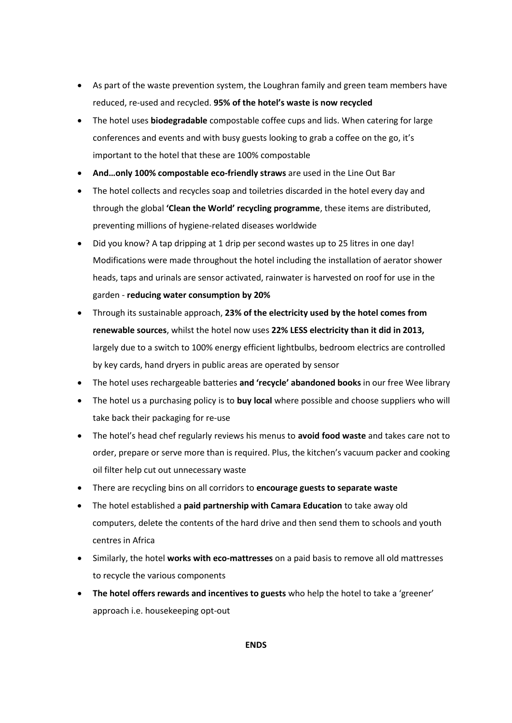- As part of the waste prevention system, the Loughran family and green team members have reduced, re-used and recycled. **95% of the hotel's waste is now recycled**
- The hotel uses **biodegradable** compostable coffee cups and lids. When catering for large conferences and events and with busy guests looking to grab a coffee on the go, it's important to the hotel that these are 100% compostable
- **And…only 100% compostable eco-friendly straws** are used in the Line Out Bar
- The hotel collects and recycles soap and toiletries discarded in the hotel every day and through the global **'Clean the World' recycling programme**, these items are distributed, preventing millions of hygiene-related diseases worldwide
- Did you know? A tap dripping at 1 drip per second wastes up to 25 litres in one day! Modifications were made throughout the hotel including the installation of aerator shower heads, taps and urinals are sensor activated, rainwater is harvested on roof for use in the garden - **reducing water consumption by 20%**
- Through its sustainable approach, **23% of the electricity used by the hotel comes from renewable sources**, whilst the hotel now uses **22% LESS electricity than it did in 2013,**  largely due to a switch to 100% energy efficient lightbulbs, bedroom electrics are controlled by key cards, hand dryers in public areas are operated by sensor
- The hotel uses rechargeable batteries **and 'recycle' abandoned books** in our free Wee library
- The hotel us a purchasing policy is to **buy local** where possible and choose suppliers who will take back their packaging for re-use
- The hotel's head chef regularly reviews his menus to **avoid food waste** and takes care not to order, prepare or serve more than is required. Plus, the kitchen's vacuum packer and cooking oil filter help cut out unnecessary waste
- There are recycling bins on all corridors to **encourage guests to separate waste**
- The hotel established a **paid partnership with Camara Education** to take away old computers, delete the contents of the hard drive and then send them to schools and youth centres in Africa
- Similarly, the hotel **works with eco-mattresses** on a paid basis to remove all old mattresses to recycle the various components
- **The hotel offers rewards and incentives to guests** who help the hotel to take a 'greener' approach i.e. housekeeping opt-out